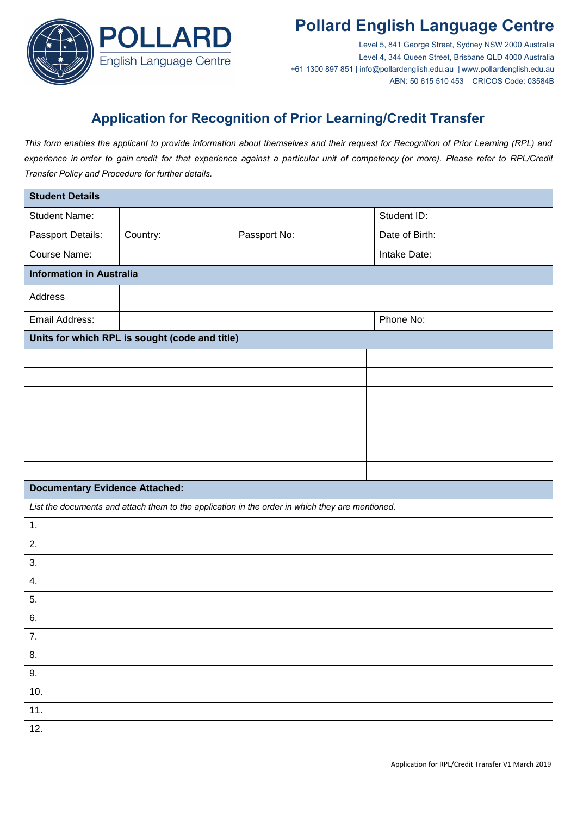

Level 5, 841 George Street, Sydney NSW 2000 Australia Level 4, 344 Queen Street, Brisbane QLD 4000 Australia +61 1300 897 851 | info@pollardenglish.edu.au | www.pollardenglish.edu.au ABN: 50 615 510 453 CRICOS Code: 03584B

### **Application for Recognition of Prior Learning/Credit Transfer**

*This form enables the applicant to provide information about themselves and their request for Recognition of Prior Learning (RPL) and experience in order to gain credit for that experience against a particular unit of competency (or more). Please refer to RPL/Credit Transfer Policy and Procedure for further details.* 

| <b>Student Details</b>                         |          |                                                                                                 |                |  |  |
|------------------------------------------------|----------|-------------------------------------------------------------------------------------------------|----------------|--|--|
| <b>Student Name:</b>                           |          |                                                                                                 | Student ID:    |  |  |
| Passport Details:                              | Country: | Passport No:                                                                                    | Date of Birth: |  |  |
| Course Name:                                   |          |                                                                                                 | Intake Date:   |  |  |
| <b>Information in Australia</b>                |          |                                                                                                 |                |  |  |
| Address                                        |          |                                                                                                 |                |  |  |
| Email Address:                                 |          |                                                                                                 | Phone No:      |  |  |
| Units for which RPL is sought (code and title) |          |                                                                                                 |                |  |  |
|                                                |          |                                                                                                 |                |  |  |
|                                                |          |                                                                                                 |                |  |  |
|                                                |          |                                                                                                 |                |  |  |
|                                                |          |                                                                                                 |                |  |  |
|                                                |          |                                                                                                 |                |  |  |
|                                                |          |                                                                                                 |                |  |  |
|                                                |          |                                                                                                 |                |  |  |
| <b>Documentary Evidence Attached:</b>          |          |                                                                                                 |                |  |  |
|                                                |          | List the documents and attach them to the application in the order in which they are mentioned. |                |  |  |
| 1.                                             |          |                                                                                                 |                |  |  |
| 2.                                             |          |                                                                                                 |                |  |  |
| 3.                                             |          |                                                                                                 |                |  |  |
| 4.                                             |          |                                                                                                 |                |  |  |
| 5.                                             |          |                                                                                                 |                |  |  |
| 6.                                             |          |                                                                                                 |                |  |  |
| 7.                                             |          |                                                                                                 |                |  |  |
| 8.                                             |          |                                                                                                 |                |  |  |
| 9.                                             |          |                                                                                                 |                |  |  |
| 10.                                            |          |                                                                                                 |                |  |  |
| 11.                                            |          |                                                                                                 |                |  |  |
| 12.                                            |          |                                                                                                 |                |  |  |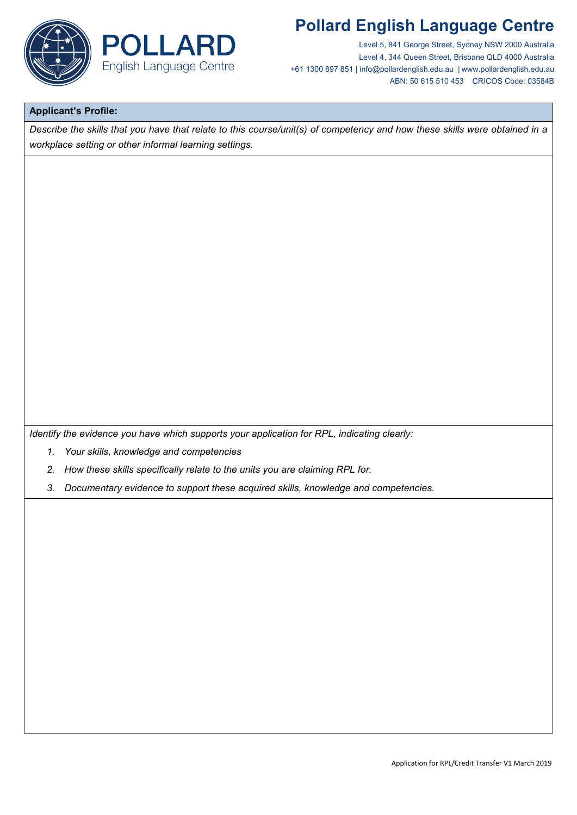

Level 5, 841 George Street, Sydney NSW 2000 Australia Level 4, 344 Queen Street, Brisbane QLD 4000 Australia +61 1300 897 851 | info@pollardenglish.edu.au | www.pollardenglish.edu.au ABN: 50 615 510 453 CRICOS Code: 03584B

#### **Applicant's Profile:**

*Describe the skills that you have that relate to this course/unit(s) of competency and how these skills were obtained in a workplace setting or other informal learning settings.*

*Identify the evidence you have which supports your application for RPL, indicating clearly:*

- *1. Your skills, knowledge and competencies*
- *2. How these skills specifically relate to the units you are claiming RPL for.*
- *3. Documentary evidence to support these acquired skills, knowledge and competencies.*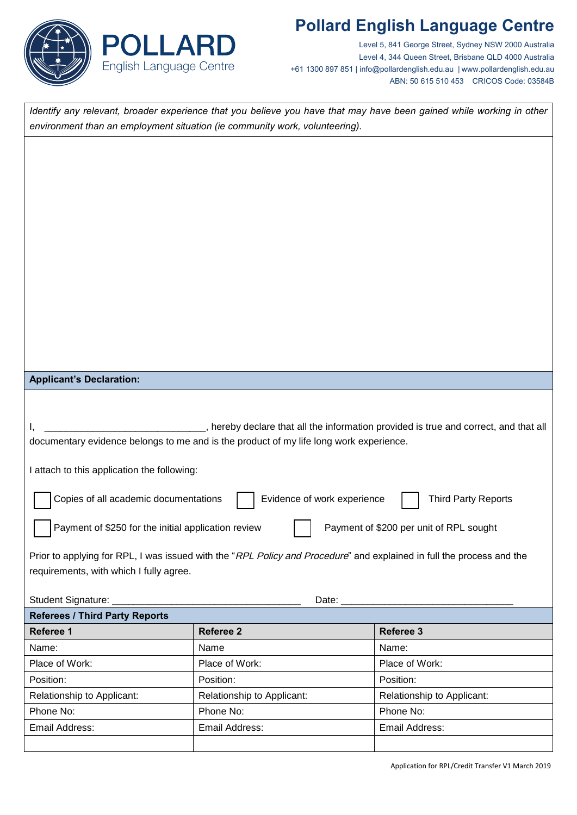

Level 5, 841 George Street, Sydney NSW 2000 Australia Level 4, 344 Queen Street, Brisbane QLD 4000 Australia +61 1300 897 851 | info@pollardenglish.edu.au | www.pollardenglish.edu.au ABN: 50 615 510 453 CRICOS Code: 03584B

*Identify any relevant, broader experience that you believe you have that may have been gained while working in other environment than an employment situation (ie community work, volunteering).*

#### **Applicant's Declaration:**

| , hereby declare that all the information provided is true and correct, and that all   |  |
|----------------------------------------------------------------------------------------|--|
| documentary evidence belongs to me and is the product of my life long work experience. |  |

I attach to this application the following:

| I Copies of all academic documentations |  | Evidence of work experience |  | <b>Third Party Reports</b> |
|-----------------------------------------|--|-----------------------------|--|----------------------------|
|-----------------------------------------|--|-----------------------------|--|----------------------------|

Payment of \$250 for the initial application review Payment of \$200 per unit of RPL sought

Prior to applying for RPL, I was issued with the "RPL Policy and Procedure" and explained in full the process and the requirements, with which I fully agree.

| Student Signature:                    | Date:                      |                            |  |  |  |
|---------------------------------------|----------------------------|----------------------------|--|--|--|
| <b>Referees / Third Party Reports</b> |                            |                            |  |  |  |
| Referee 1                             | <b>Referee 2</b>           | Referee 3                  |  |  |  |
| Name:                                 | Name                       | Name:                      |  |  |  |
| Place of Work:                        | Place of Work:             | Place of Work:             |  |  |  |
| Position:                             | Position:                  | Position:                  |  |  |  |
| Relationship to Applicant:            | Relationship to Applicant: | Relationship to Applicant: |  |  |  |
| Phone No:                             | Phone No:                  | Phone No:                  |  |  |  |
| Email Address:                        | Email Address:             | Email Address:             |  |  |  |
|                                       |                            |                            |  |  |  |